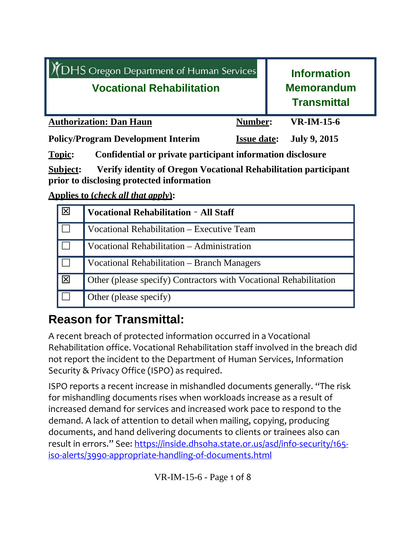| <b>XDHS</b> Oregon Department of Human Services<br><b>Vocational Rehabilitation</b> |                    | <b>Information</b><br><b>Memorandum</b><br><b>Transmittal</b> |
|-------------------------------------------------------------------------------------|--------------------|---------------------------------------------------------------|
| <b>Authorization: Dan Haun</b>                                                      | Number:            | $VR$ -IM-15-6                                                 |
| <b>Policy/Program Development Interim</b>                                           | <b>Issue date:</b> | <b>July 9, 2015</b>                                           |

**Topic: Confidential or private participant information disclosure**

**Subject: Verify identity of Oregon Vocational Rehabilitation participant prior to disclosing protected information** 

**Applies to (***check all that apply***):**

| $\overline{\mathsf{K}}$ | <b>Vocational Rehabilitation - All Staff</b>                      |
|-------------------------|-------------------------------------------------------------------|
|                         | Vocational Rehabilitation – Executive Team                        |
|                         | Vocational Rehabilitation - Administration                        |
|                         | Vocational Rehabilitation – Branch Managers                       |
| $\overline{\mathbf{X}}$ | Other (please specify) Contractors with Vocational Rehabilitation |
|                         | Other (please specify)                                            |

# **Reason for Transmittal:**

A recent breach of protected information occurred in a Vocational Rehabilitation office. Vocational Rehabilitation staff involved in the breach did not report the incident to the Department of Human Services, Information Security & Privacy Office (ISPO) as required.

ISPO reports a recent increase in mishandled documents generally. "The risk for mishandling documents rises when workloads increase as a result of increased demand for services and increased work pace to respond to the demand. A lack of attention to detail when mailing, copying, producing documents, and hand delivering documents to clients or trainees also can result in errors." See: https://inside.dhsoha.state.or.us/asd/info-security/165iso‐alerts/3990‐appropriate‐handling‐of‐documents.html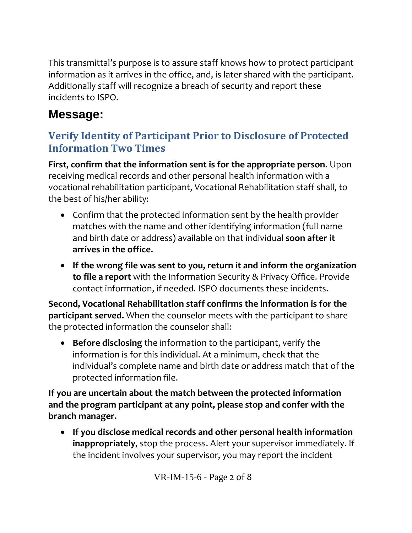This transmittal's purpose is to assure staff knows how to protect participant information as it arrives in the office, and, is later shared with the participant. Additionally staff will recognize a breach of security and report these incidents to ISPO.

# **Message:**

## **Verify Identity of Participant Prior to Disclosure of Protected Information Two Times**

**First, confirm that the information sent is for the appropriate person**. Upon receiving medical records and other personal health information with a vocational rehabilitation participant, Vocational Rehabilitation staff shall, to the best of his/her ability:

- Confirm that the protected information sent by the health provider matches with the name and other identifying information (full name and birth date or address) available on that individual **soon after it arrives in the office.**
- **If the wrong file was sent to you, return it and inform the organization to file a report** with the Information Security & Privacy Office. Provide contact information, if needed. ISPO documents these incidents.

**Second, Vocational Rehabilitation staff confirms the information is for the participant served.** When the counselor meets with the participant to share the protected information the counselor shall:

 **Before disclosing** the information to the participant, verify the information is for this individual. At a minimum, check that the individual's complete name and birth date or address match that of the protected information file.

**If you are uncertain about the match between the protected information and the program participant at any point, please stop and confer with the branch manager.**

 **If you disclose medical records and other personal health information inappropriately**, stop the process. Alert your supervisor immediately. If the incident involves your supervisor, you may report the incident

VR-IM-15-6 - Page 2 of 8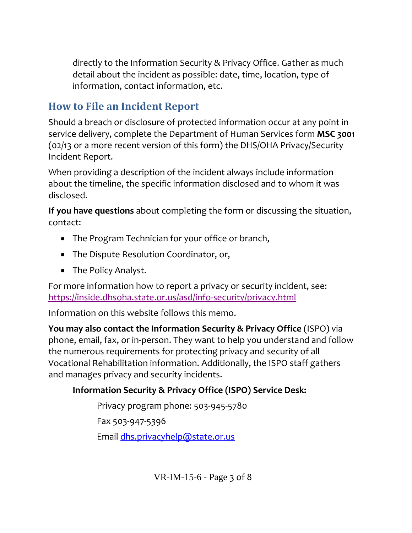directly to the Information Security & Privacy Office. Gather as much detail about the incident as possible: date, time, location, type of information, contact information, etc.

## **How to File an Incident Report**

Should a breach or disclosure of protected information occur at any point in service delivery, complete the Department of Human Services form **MSC 3001** (02/13 or a more recent version of this form) the DHS/OHA Privacy/Security Incident Report.

When providing a description of the incident always include information about the timeline, the specific information disclosed and to whom it was disclosed.

**If you have questions** about completing the form or discussing the situation, contact:

- The Program Technician for your office or branch,
- The Dispute Resolution Coordinator, or,
- The Policy Analyst.

For more information how to report a privacy or security incident, see: https://inside.dhsoha.state.or.us/asd/info‐security/privacy.html

Information on this website follows this memo.

**You may also contact the Information Security & Privacy Office** (ISPO) via phone, email, fax, or in‐person. They want to help you understand and follow the numerous requirements for protecting privacy and security of all Vocational Rehabilitation information. Additionally, the ISPO staff gathers and manages privacy and security incidents.

### **Information Security & Privacy Office (ISPO) Service Desk:**

Privacy program phone: 503‐945‐5780 Fax 503‐947‐5396 Email dhs.privacyhelp@state.or.us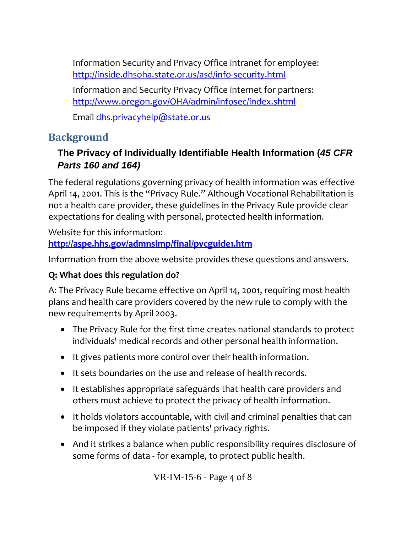Information Security and Privacy Office intranet for employee: http://inside.dhsoha.state.or.us/asd/info‐security.html

Information and Security Privacy Office internet for partners: http://www.oregon.gov/OHA/admin/infosec/index.shtml

Email dhs.privacyhelp@state.or.us

## **Background**

### **The Privacy of Individually Identifiable Health Information (***45 CFR Parts 160 and 164)*

The federal regulations governing privacy of health information was effective April 14, 2001. This is the "Privacy Rule." Although Vocational Rehabilitation is not a health care provider, these guidelines in the Privacy Rule provide clear expectations for dealing with personal, protected health information.

Website for this information: **http://aspe.hhs.gov/admnsimp/final/pvcguide1.htm**

Information from the above website provides these questions and answers.

### **Q: What does this regulation do?**

A: The Privacy Rule became effective on April 14, 2001, requiring most health plans and health care providers covered by the new rule to comply with the new requirements by April 2003.

- The Privacy Rule for the first time creates national standards to protect individuals' medical records and other personal health information.
- It gives patients more control over their health information.
- It sets boundaries on the use and release of health records.
- It establishes appropriate safeguards that health care providers and others must achieve to protect the privacy of health information.
- It holds violators accountable, with civil and criminal penalties that can be imposed if they violate patients' privacy rights.
- And it strikes a balance when public responsibility requires disclosure of some forms of data ‐ for example, to protect public health.

VR-IM-15-6 - Page 4 of 8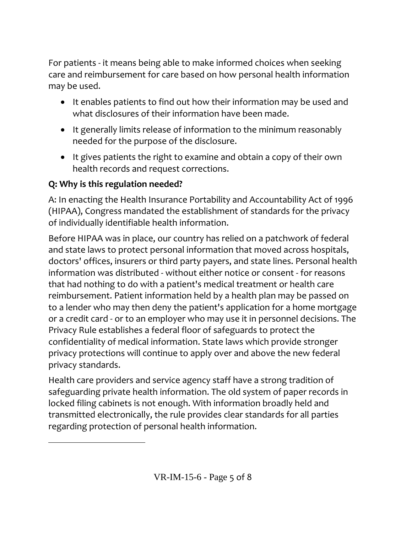For patients ‐ it means being able to make informed choices when seeking care and reimbursement for care based on how personal health information may be used.

- It enables patients to find out how their information may be used and what disclosures of their information have been made.
- It generally limits release of information to the minimum reasonably needed for the purpose of the disclosure.
- It gives patients the right to examine and obtain a copy of their own health records and request corrections.

### **Q: Why is this regulation needed?**

A: In enacting the Health Insurance Portability and Accountability Act of 1996 (HIPAA), Congress mandated the establishment of standards for the privacy of individually identifiable health information.

Before HIPAA was in place, our country has relied on a patchwork of federal and state laws to protect personal information that moved across hospitals, doctors' offices, insurers or third party payers, and state lines. Personal health information was distributed ‐ without either notice or consent ‐ for reasons that had nothing to do with a patient's medical treatment or health care reimbursement. Patient information held by a health plan may be passed on to a lender who may then deny the patient's application for a home mortgage or a credit card ‐ or to an employer who may use it in personnel decisions. The Privacy Rule establishes a federal floor of safeguards to protect the confidentiality of medical information. State laws which provide stronger privacy protections will continue to apply over and above the new federal privacy standards.

Health care providers and service agency staff have a strong tradition of safeguarding private health information. The old system of paper records in locked filing cabinets is not enough. With information broadly held and transmitted electronically, the rule provides clear standards for all parties regarding protection of personal health information.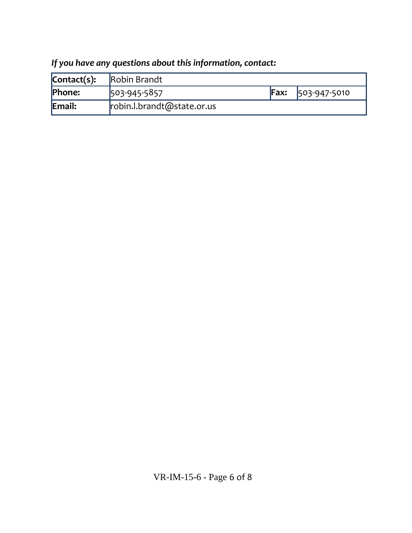| $\mathsf{Context}(s)$ : | Robin Brandt               |     |              |
|-------------------------|----------------------------|-----|--------------|
| Phone:                  | 503-945-5857               | Fx: | 503-947-5010 |
| Email:                  | robin.l.brandt@state.or.us |     |              |

## *If you have any questions about this information, contact:*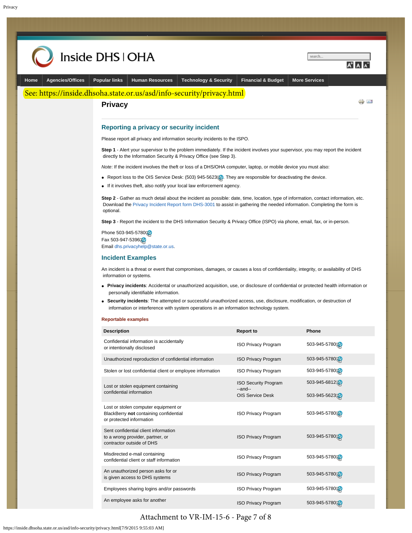<span id="page-6-0"></span>